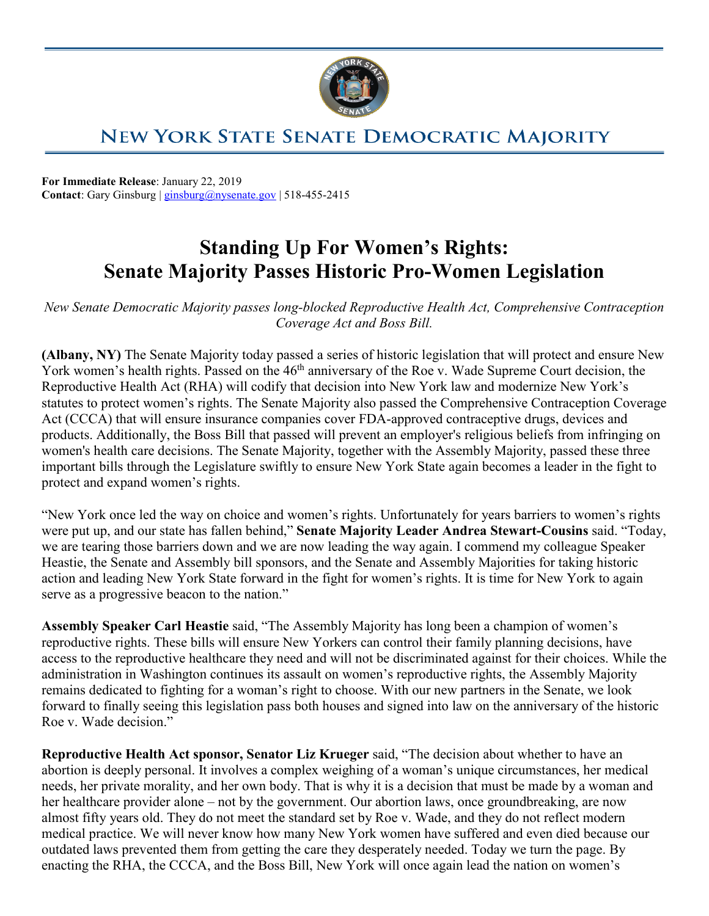

## **NEW YORK STATE SENATE DEMOCRATIC MAJORITY**

**For Immediate Release**: January 22, 2019 **Contact**: Gary Ginsburg | [ginsburg@nysenate.gov](mailto:ginsburg@nysenate.gov) | 518-455-2415

## **Standing Up For Women's Rights: Senate Majority Passes Historic Pro-Women Legislation**

*New Senate Democratic Majority passes long-blocked Reproductive Health Act, Comprehensive Contraception Coverage Act and Boss Bill.*

**(Albany, NY)** The Senate Majority today passed a series of historic legislation that will protect and ensure New York women's health rights. Passed on the 46<sup>th</sup> anniversary of the Roe v. Wade Supreme Court decision, the Reproductive Health Act (RHA) will codify that decision into New York law and modernize New York's statutes to protect women's rights. The Senate Majority also passed the Comprehensive Contraception Coverage Act (CCCA) that will ensure insurance companies cover FDA-approved contraceptive drugs, devices and products. Additionally, the Boss Bill that passed will prevent an employer's religious beliefs from infringing on women's health care decisions. The Senate Majority, together with the Assembly Majority, passed these three important bills through the Legislature swiftly to ensure New York State again becomes a leader in the fight to protect and expand women's rights.

"New York once led the way on choice and women's rights. Unfortunately for years barriers to women's rights were put up, and our state has fallen behind," **Senate Majority Leader Andrea Stewart-Cousins** said. "Today, we are tearing those barriers down and we are now leading the way again. I commend my colleague Speaker Heastie, the Senate and Assembly bill sponsors, and the Senate and Assembly Majorities for taking historic action and leading New York State forward in the fight for women's rights. It is time for New York to again serve as a progressive beacon to the nation."

**Assembly Speaker Carl Heastie** said, "The Assembly Majority has long been a champion of women's reproductive rights. These bills will ensure New Yorkers can control their family planning decisions, have access to the reproductive healthcare they need and will not be discriminated against for their choices. While the administration in Washington continues its assault on women's reproductive rights, the Assembly Majority remains dedicated to fighting for a woman's right to choose. With our new partners in the Senate, we look forward to finally seeing this legislation pass both houses and signed into law on the anniversary of the historic Roe v. Wade decision."

**Reproductive Health Act sponsor, Senator Liz Krueger** said, "The decision about whether to have an abortion is deeply personal. It involves a complex weighing of a woman's unique circumstances, her medical needs, her private morality, and her own body. That is why it is a decision that must be made by a woman and her healthcare provider alone – not by the government. Our abortion laws, once groundbreaking, are now almost fifty years old. They do not meet the standard set by Roe v. Wade, and they do not reflect modern medical practice. We will never know how many New York women have suffered and even died because our outdated laws prevented them from getting the care they desperately needed. Today we turn the page. By enacting the RHA, the CCCA, and the Boss Bill, New York will once again lead the nation on women's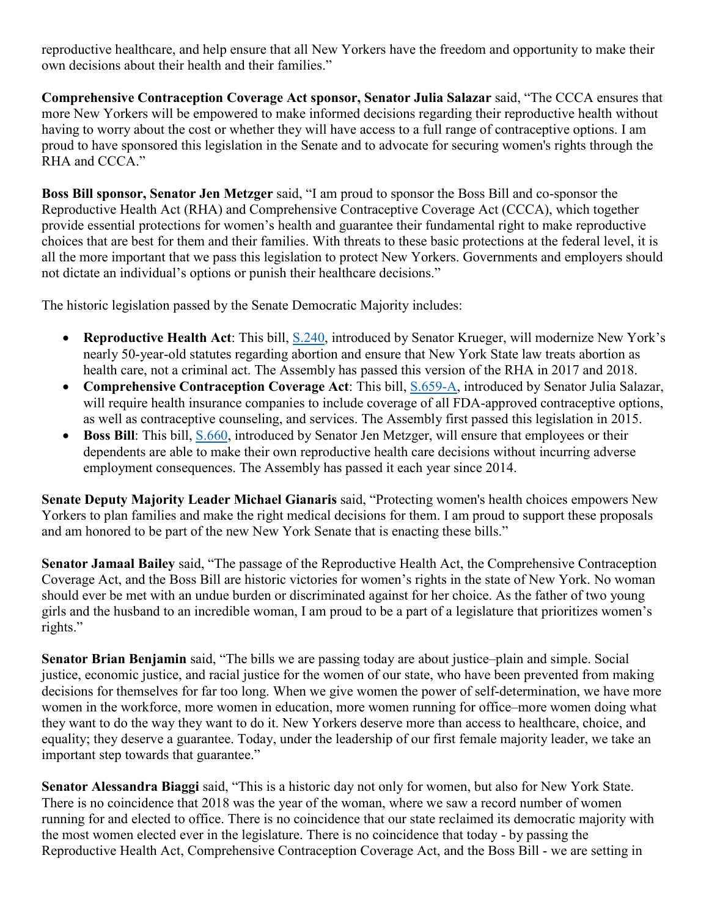reproductive healthcare, and help ensure that all New Yorkers have the freedom and opportunity to make their own decisions about their health and their families."

**Comprehensive Contraception Coverage Act sponsor, Senator Julia Salazar** said, "The CCCA ensures that more New Yorkers will be empowered to make informed decisions regarding their reproductive health without having to worry about the cost or whether they will have access to a full range of contraceptive options. I am proud to have sponsored this legislation in the Senate and to advocate for securing women's rights through the RHA and CCCA."

**Boss Bill sponsor, Senator Jen Metzger** said, "I am proud to sponsor the Boss Bill and co-sponsor the Reproductive Health Act (RHA) and Comprehensive Contraceptive Coverage Act (CCCA), which together provide essential protections for women's health and guarantee their fundamental right to make reproductive choices that are best for them and their families. With threats to these basic protections at the federal level, it is all the more important that we pass this legislation to protect New Yorkers. Governments and employers should not dictate an individual's options or punish their healthcare decisions."

The historic legislation passed by the Senate Democratic Majority includes:

- **Reproductive Health Act**: This bill, [S.240,](https://www.nysenate.gov/legislation/bills/2019/s240) introduced by Senator Krueger, will modernize New York's nearly 50-year-old statutes regarding abortion and ensure that New York State law treats abortion as health care, not a criminal act. The Assembly has passed this version of the RHA in 2017 and 2018.
- **Comprehensive Contraception Coverage Act**: This bill, [S.659-A,](https://www.nysenate.gov/legislation/bills/2019/s659/amendment/a) introduced by Senator Julia Salazar, will require health insurance companies to include coverage of all FDA-approved contraceptive options, as well as contraceptive counseling, and services. The Assembly first passed this legislation in 2015.
- **Boss Bill**: This bill, [S.660,](https://www.nysenate.gov/legislation/bills/2019/s660) introduced by Senator Jen Metzger, will ensure that employees or their dependents are able to make their own reproductive health care decisions without incurring adverse employment consequences. The Assembly has passed it each year since 2014.

**Senate Deputy Majority Leader Michael Gianaris** said, "Protecting women's health choices empowers New Yorkers to plan families and make the right medical decisions for them. I am proud to support these proposals and am honored to be part of the new New York Senate that is enacting these bills."

**Senator Jamaal Bailey** said, "The passage of the Reproductive Health Act, the Comprehensive Contraception Coverage Act, and the Boss Bill are historic victories for women's rights in the state of New York. No woman should ever be met with an undue burden or discriminated against for her choice. As the father of two young girls and the husband to an incredible woman, I am proud to be a part of a legislature that prioritizes women's rights."

**Senator Brian Benjamin** said, "The bills we are passing today are about justice–plain and simple. Social justice, economic justice, and racial justice for the women of our state, who have been prevented from making decisions for themselves for far too long. When we give women the power of self-determination, we have more women in the workforce, more women in education, more women running for office–more women doing what they want to do the way they want to do it. New Yorkers deserve more than access to healthcare, choice, and equality; they deserve a guarantee. Today, under the leadership of our first female majority leader, we take an important step towards that guarantee."

**Senator Alessandra Biaggi** said, "This is a historic day not only for women, but also for New York State. There is no coincidence that 2018 was the year of the woman, where we saw a record number of women running for and elected to office. There is no coincidence that our state reclaimed its democratic majority with the most women elected ever in the legislature. There is no coincidence that today - by passing the Reproductive Health Act, Comprehensive Contraception Coverage Act, and the Boss Bill - we are setting in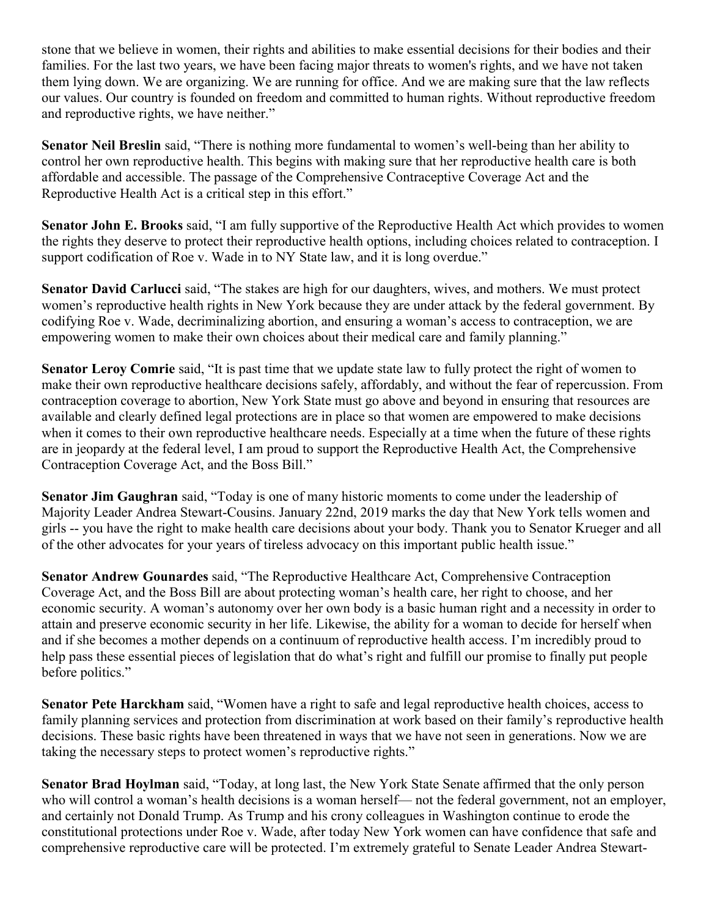stone that we believe in women, their rights and abilities to make essential decisions for their bodies and their families. For the last two years, we have been facing major threats to women's rights, and we have not taken them lying down. We are organizing. We are running for office. And we are making sure that the law reflects our values. Our country is founded on freedom and committed to human rights. Without reproductive freedom and reproductive rights, we have neither."

**Senator Neil Breslin** said, "There is nothing more fundamental to women's well-being than her ability to control her own reproductive health. This begins with making sure that her reproductive health care is both affordable and accessible. The passage of the Comprehensive Contraceptive Coverage Act and the Reproductive Health Act is a critical step in this effort."

**Senator John E. Brooks** said, "I am fully supportive of the Reproductive Health Act which provides to women the rights they deserve to protect their reproductive health options, including choices related to contraception. I support codification of Roe v. Wade in to NY State law, and it is long overdue."

**Senator David Carlucci** said, "The stakes are high for our daughters, wives, and mothers. We must protect women's reproductive health rights in New York because they are under attack by the federal government. By codifying Roe v. Wade, decriminalizing abortion, and ensuring a woman's access to contraception, we are empowering women to make their own choices about their medical care and family planning."

**Senator Leroy Comrie** said, "It is past time that we update state law to fully protect the right of women to make their own reproductive healthcare decisions safely, affordably, and without the fear of repercussion. From contraception coverage to abortion, New York State must go above and beyond in ensuring that resources are available and clearly defined legal protections are in place so that women are empowered to make decisions when it comes to their own reproductive healthcare needs. Especially at a time when the future of these rights are in jeopardy at the federal level, I am proud to support the Reproductive Health Act, the Comprehensive Contraception Coverage Act, and the Boss Bill."

**Senator Jim Gaughran** said, "Today is one of many historic moments to come under the leadership of Majority Leader Andrea Stewart-Cousins. January 22nd, 2019 marks the day that New York tells women and girls -- you have the right to make health care decisions about your body. Thank you to Senator Krueger and all of the other advocates for your years of tireless advocacy on this important public health issue."

**Senator Andrew Gounardes** said, "The Reproductive Healthcare Act, Comprehensive Contraception Coverage Act, and the Boss Bill are about protecting woman's health care, her right to choose, and her economic security. A woman's autonomy over her own body is a basic human right and a necessity in order to attain and preserve economic security in her life. Likewise, the ability for a woman to decide for herself when and if she becomes a mother depends on a continuum of reproductive health access. I'm incredibly proud to help pass these essential pieces of legislation that do what's right and fulfill our promise to finally put people before politics."

**Senator Pete Harckham** said, "Women have a right to safe and legal reproductive health choices, access to family planning services and protection from discrimination at work based on their family's reproductive health decisions. These basic rights have been threatened in ways that we have not seen in generations. Now we are taking the necessary steps to protect women's reproductive rights."

**Senator Brad Hoylman** said, "Today, at long last, the New York State Senate affirmed that the only person who will control a woman's health decisions is a woman herself— not the federal government, not an employer, and certainly not Donald Trump. As Trump and his crony colleagues in Washington continue to erode the constitutional protections under Roe v. Wade, after today New York women can have confidence that safe and comprehensive reproductive care will be protected. I'm extremely grateful to Senate Leader Andrea Stewart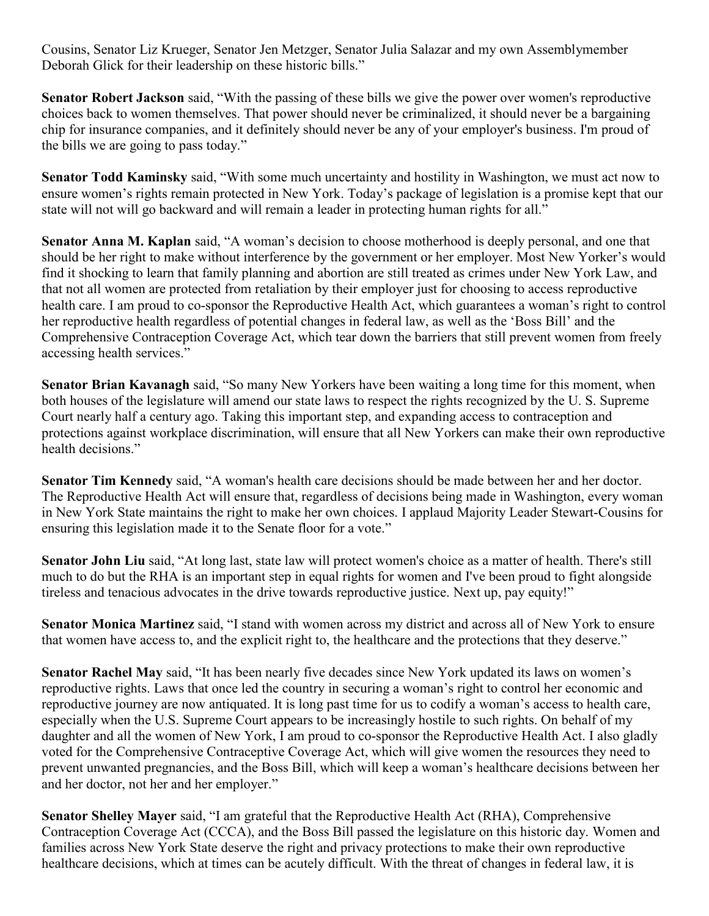Cousins, Senator Liz Krueger, Senator Jen Metzger, Senator Julia Salazar and my own Assemblymember Deborah Glick for their leadership on these historic bills."

**Senator Robert Jackson** said, "With the passing of these bills we give the power over women's reproductive choices back to women themselves. That power should never be criminalized, it should never be a bargaining chip for insurance companies, and it definitely should never be any of your employer's business. I'm proud of the bills we are going to pass today."

**Senator Todd Kaminsky** said, "With some much uncertainty and hostility in Washington, we must act now to ensure women's rights remain protected in New York. Today's package of legislation is a promise kept that our state will not will go backward and will remain a leader in protecting human rights for all."

**Senator Anna M. Kaplan** said, "A woman's decision to choose motherhood is deeply personal, and one that should be her right to make without interference by the government or her employer. Most New Yorker's would find it shocking to learn that family planning and abortion are still treated as crimes under New York Law, and that not all women are protected from retaliation by their employer just for choosing to access reproductive health care. I am proud to co-sponsor the Reproductive Health Act, which guarantees a woman's right to control her reproductive health regardless of potential changes in federal law, as well as the 'Boss Bill' and the Comprehensive Contraception Coverage Act, which tear down the barriers that still prevent women from freely accessing health services."

**Senator Brian Kavanagh** said, "So many New Yorkers have been waiting a long time for this moment, when both houses of the legislature will amend our state laws to respect the rights recognized by the U. S. Supreme Court nearly half a century ago. Taking this important step, and expanding access to contraception and protections against workplace discrimination, will ensure that all New Yorkers can make their own reproductive health decisions."

**Senator Tim Kennedy** said, "A woman's health care decisions should be made between her and her doctor. The Reproductive Health Act will ensure that, regardless of decisions being made in Washington, every woman in New York State maintains the right to make her own choices. I applaud Majority Leader Stewart-Cousins for ensuring this legislation made it to the Senate floor for a vote."

**Senator John Liu** said, "At long last, state law will protect women's choice as a matter of health. There's still much to do but the RHA is an important step in equal rights for women and I've been proud to fight alongside tireless and tenacious advocates in the drive towards reproductive justice. Next up, pay equity!"

**Senator Monica Martinez** said, "I stand with women across my district and across all of New York to ensure that women have access to, and the explicit right to, the healthcare and the protections that they deserve."

**Senator Rachel May** said, "It has been nearly five decades since New York updated its laws on women's reproductive rights. Laws that once led the country in securing a woman's right to control her economic and reproductive journey are now antiquated. It is long past time for us to codify a woman's access to health care, especially when the U.S. Supreme Court appears to be increasingly hostile to such rights. On behalf of my daughter and all the women of New York, I am proud to co-sponsor the Reproductive Health Act. I also gladly voted for the Comprehensive Contraceptive Coverage Act, which will give women the resources they need to prevent unwanted pregnancies, and the Boss Bill, which will keep a woman's healthcare decisions between her and her doctor, not her and her employer."

**Senator Shelley Mayer** said, "I am grateful that the Reproductive Health Act (RHA), Comprehensive Contraception Coverage Act (CCCA), and the Boss Bill passed the legislature on this historic day. Women and families across New York State deserve the right and privacy protections to make their own reproductive healthcare decisions, which at times can be acutely difficult. With the threat of changes in federal law, it is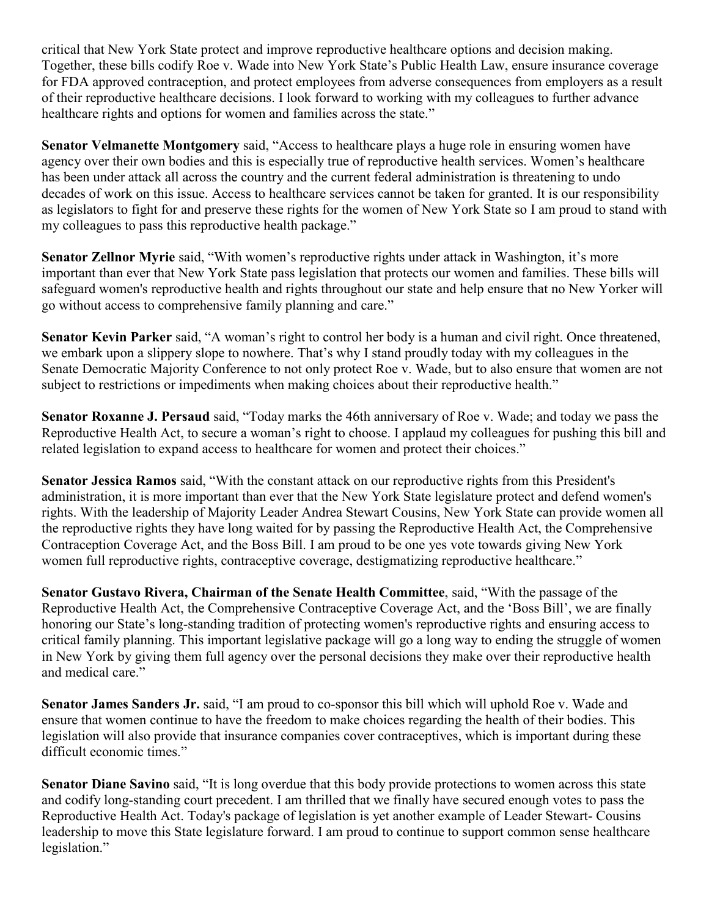critical that New York State protect and improve reproductive healthcare options and decision making. Together, these bills codify Roe v. Wade into New York State's Public Health Law, ensure insurance coverage for FDA approved contraception, and protect employees from adverse consequences from employers as a result of their reproductive healthcare decisions. I look forward to working with my colleagues to further advance healthcare rights and options for women and families across the state."

**Senator Velmanette Montgomery** said, "Access to healthcare plays a huge role in ensuring women have agency over their own bodies and this is especially true of reproductive health services. Women's healthcare has been under attack all across the country and the current federal administration is threatening to undo decades of work on this issue. Access to healthcare services cannot be taken for granted. It is our responsibility as legislators to fight for and preserve these rights for the women of New York State so I am proud to stand with my colleagues to pass this reproductive health package."

**Senator Zellnor Myrie** said, "With women's reproductive rights under attack in Washington, it's more important than ever that New York State pass legislation that protects our women and families. These bills will safeguard women's reproductive health and rights throughout our state and help ensure that no New Yorker will go without access to comprehensive family planning and care."

**Senator Kevin Parker** said, "A woman's right to control her body is a human and civil right. Once threatened, we embark upon a slippery slope to nowhere. That's why I stand proudly today with my colleagues in the Senate Democratic Majority Conference to not only protect Roe v. Wade, but to also ensure that women are not subject to restrictions or impediments when making choices about their reproductive health."

**Senator Roxanne J. Persaud** said, "Today marks the 46th anniversary of Roe v. Wade; and today we pass the Reproductive Health Act, to secure a woman's right to choose. I applaud my colleagues for pushing this bill and related legislation to expand access to healthcare for women and protect their choices."

**Senator Jessica Ramos** said, "With the constant attack on our reproductive rights from this President's administration, it is more important than ever that the New York State legislature protect and defend women's rights. With the leadership of Majority Leader Andrea Stewart Cousins, New York State can provide women all the reproductive rights they have long waited for by passing the Reproductive Health Act, the Comprehensive Contraception Coverage Act, and the Boss Bill. I am proud to be one yes vote towards giving New York women full reproductive rights, contraceptive coverage, destigmatizing reproductive healthcare."

**Senator Gustavo Rivera, Chairman of the Senate Health Committee**, said, "With the passage of the Reproductive Health Act, the Comprehensive Contraceptive Coverage Act, and the 'Boss Bill', we are finally honoring our State's long-standing tradition of protecting women's reproductive rights and ensuring access to critical family planning. This important legislative package will go a long way to ending the struggle of women in New York by giving them full agency over the personal decisions they make over their reproductive health and medical care."

**Senator James Sanders Jr.** said, "I am proud to co-sponsor this bill which will uphold Roe v. Wade and ensure that women continue to have the freedom to make choices regarding the health of their bodies. This legislation will also provide that insurance companies cover contraceptives, which is important during these difficult economic times."

**Senator Diane Savino** said, "It is long overdue that this body provide protections to women across this state and codify long-standing court precedent. I am thrilled that we finally have secured enough votes to pass the Reproductive Health Act. Today's package of legislation is yet another example of Leader Stewart- Cousins leadership to move this State legislature forward. I am proud to continue to support common sense healthcare legislation."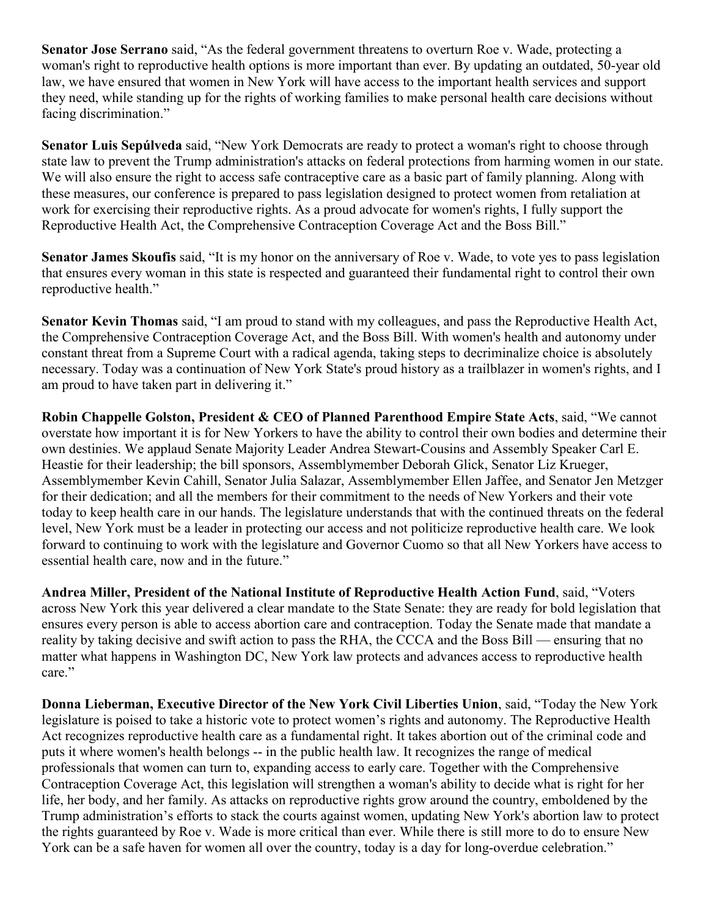**Senator Jose Serrano** said, "As the federal government threatens to overturn Roe v. Wade, protecting a woman's right to reproductive health options is more important than ever. By updating an outdated, 50-year old law, we have ensured that women in New York will have access to the important health services and support they need, while standing up for the rights of working families to make personal health care decisions without facing discrimination."

**Senator Luis Sepúlveda** said, "New York Democrats are ready to protect a woman's right to choose through state law to prevent the Trump administration's attacks on federal protections from harming women in our state. We will also ensure the right to access safe contraceptive care as a basic part of family planning. Along with these measures, our conference is prepared to pass legislation designed to protect women from retaliation at work for exercising their reproductive rights. As a proud advocate for women's rights, I fully support the Reproductive Health Act, the Comprehensive Contraception Coverage Act and the Boss Bill."

**Senator James Skoufis** said, "It is my honor on the anniversary of Roe v. Wade, to vote yes to pass legislation that ensures every woman in this state is respected and guaranteed their fundamental right to control their own reproductive health."

**Senator Kevin Thomas** said, "I am proud to stand with my colleagues, and pass the Reproductive Health Act, the Comprehensive Contraception Coverage Act, and the Boss Bill. With women's health and autonomy under constant threat from a Supreme Court with a radical agenda, taking steps to decriminalize choice is absolutely necessary. Today was a continuation of New York State's proud history as a trailblazer in women's rights, and I am proud to have taken part in delivering it."

**Robin Chappelle Golston, President & CEO of Planned Parenthood Empire State Acts**, said, "We cannot overstate how important it is for New Yorkers to have the ability to control their own bodies and determine their own destinies. We applaud Senate Majority Leader Andrea Stewart-Cousins and Assembly Speaker Carl E. Heastie for their leadership; the bill sponsors, Assemblymember Deborah Glick, Senator Liz Krueger, Assemblymember Kevin Cahill, Senator Julia Salazar, Assemblymember Ellen Jaffee, and Senator Jen Metzger for their dedication; and all the members for their commitment to the needs of New Yorkers and their vote today to keep health care in our hands. The legislature understands that with the continued threats on the federal level, New York must be a leader in protecting our access and not politicize reproductive health care. We look forward to continuing to work with the legislature and Governor Cuomo so that all New Yorkers have access to essential health care, now and in the future."

**Andrea Miller, President of the National Institute of Reproductive Health Action Fund**, said, "Voters across New York this year delivered a clear mandate to the State Senate: they are ready for bold legislation that ensures every person is able to access abortion care and contraception. Today the Senate made that mandate a reality by taking decisive and swift action to pass the RHA, the CCCA and the Boss Bill — ensuring that no matter what happens in Washington DC, New York law protects and advances access to reproductive health care."

**Donna Lieberman, Executive Director of the New York Civil Liberties Union**, said, "Today the New York legislature is poised to take a historic vote to protect women's rights and autonomy. The Reproductive Health Act recognizes reproductive health care as a fundamental right. It takes abortion out of the criminal code and puts it where women's health belongs -- in the public health law. It recognizes the range of medical professionals that women can turn to, expanding access to early care. Together with the Comprehensive Contraception Coverage Act, this legislation will strengthen a woman's ability to decide what is right for her life, her body, and her family. As attacks on reproductive rights grow around the country, emboldened by the Trump administration's efforts to stack the courts against women, updating New York's abortion law to protect the rights guaranteed by Roe v. Wade is more critical than ever. While there is still more to do to ensure New York can be a safe haven for women all over the country, today is a day for long-overdue celebration."